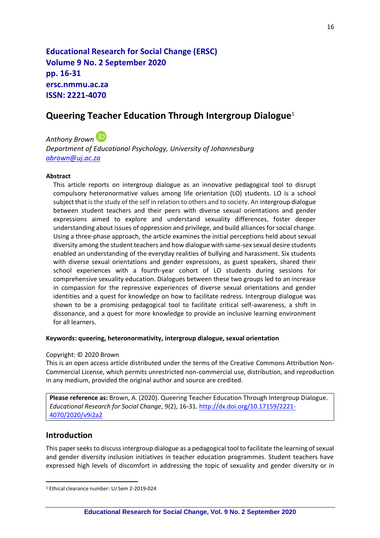**Educational Research for Social Change (ERSC) Volume 9 No. 2 September 2020 pp. 16-31 ersc.nmmu.ac.za ISSN: 2221-4070**

# **Queering Teacher Education Through Intergroup Dialogue**<sup>1</sup>

*Anthony Brown*

*Department of Educational Psychology, University of Johannesburg [abrown@uj.ac.za](mailto:abrown@uj.ac.za)*

#### **Abstract**

This article reports on intergroup dialogue as an innovative pedagogical tool to disrupt compulsory heteronormative values among life orientation (LO) students. LO is a school subject that is the study of the self in relation to others and to society. An intergroup dialogue between student teachers and their peers with diverse sexual orientations and gender expressions aimed to explore and understand sexuality differences, foster deeper understanding about issues of oppression and privilege, and build alliances for social change. Using a three-phase approach, the article examines the initial perceptions held about sexual diversity among the student teachers and how dialogue with same-sex sexual desire students enabled an understanding of the everyday realities of bullying and harassment. Six students with diverse sexual orientations and gender expressions, as guest speakers, shared their school experiences with a fourth-year cohort of LO students during sessions for comprehensive sexuality education. Dialogues between these two groups led to an increase in compassion for the repressive experiences of diverse sexual orientations and gender identities and a quest for knowledge on how to facilitate redress. Intergroup dialogue was shown to be a promising pedagogical tool to facilitate critical self-awareness, a shift in dissonance, and a quest for more knowledge to provide an inclusive learning environment for all learners.

#### **Keywords: queering, heteronormativity, intergroup dialogue, sexual orientation**

#### Copyright: © 2020 Brown

This is an open access article distributed under the terms of the Creative Commons Attribution Non-Commercial License, which permits unrestricted non-commercial use, distribution, and reproduction in any medium, provided the original author and source are credited.

**Please reference as:** Brown, A. (2020). Queering Teacher Education Through Intergroup Dialogue. *Educational Research for Social Change*, 9(2), 16-31. [http://dx.doi.org/10.17159/2221-](http://dx.doi.org/10.17159/2221-4070/2020/v9i2a2) [4070/2020/v9i2a2](http://dx.doi.org/10.17159/2221-4070/2020/v9i2a2) 

### **Introduction**

This paper seeks to discuss intergroup dialogue as a pedagogical tool to facilitate the learning of sexual and gender diversity inclusion initiatives in teacher education programmes. Student teachers have expressed high levels of discomfort in addressing the topic of sexuality and gender diversity or in

<sup>1</sup> Ethical clearance number: UJ Sem 2-2019-024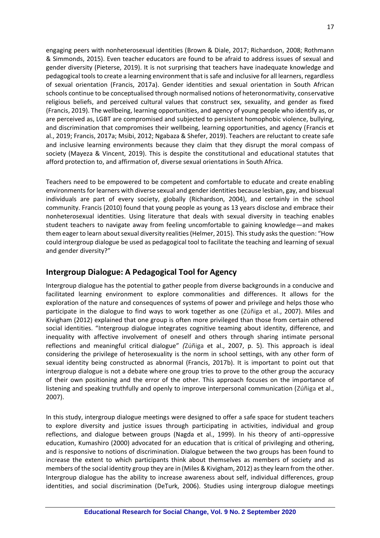engaging peers with nonheterosexual identities (Brown & Diale, 2017; Richardson, 2008; Rothmann & Simmonds, 2015). Even teacher educators are found to be afraid to address issues of sexual and gender diversity (Pieterse, 2019). It is not surprising that teachers have inadequate knowledge and pedagogical tools to create a learning environment that is safe and inclusive for all learners, regardless of sexual orientation (Francis, 2017a). Gender identities and sexual orientation in South African schools continue to be conceptualised through normalised notions of heteronormativity, conservative religious beliefs, and perceived cultural values that construct sex, sexuality, and gender as fixed (Francis, 2019). The wellbeing, learning opportunities, and agency of young people who identify as, or are perceived as, LGBT are compromised and subjected to persistent homophobic violence, bullying, and discrimination that compromises their wellbeing, learning opportunities, and agency (Francis et al., 2019; Francis, 2017a; Msibi, 2012; Ngabaza & Shefer, 2019). Teachers are reluctant to create safe and inclusive learning environments because they claim that they disrupt the moral compass of society (Mayeza & Vincent, 2019). This is despite the constitutional and educational statutes that afford protection to, and affirmation of, diverse sexual orientations in South Africa.

Teachers need to be empowered to be competent and comfortable to educate and create enabling environments for learners with diverse sexual and gender identities because lesbian, gay, and bisexual individuals are part of every society, globally (Richardson, 2004), and certainly in the school community. Francis (2010) found that young people as young as 13 years disclose and embrace their nonheterosexual identities. Using literature that deals with sexual diversity in teaching enables student teachers to navigate away from feeling uncomfortable to gaining knowledge—and makes them eager to learn about sexual diversity realities (Helmer, 2015). This study asks the question: "How could intergroup dialogue be used as pedagogical tool to facilitate the teaching and learning of sexual and gender diversity?"

# **Intergroup Dialogue: A Pedagogical Tool for Agency**

Intergroup dialogue has the potential to gather people from diverse backgrounds in a conducive and facilitated learning environment to explore commonalities and differences. It allows for the exploration of the nature and consequences of systems of power and privilege and helps those who participate in the dialogue to find ways to work together as one (Zúñiga et al., 2007). Miles and Kivigham (2012) explained that one group is often more privileged than those from certain othered social identities. "Intergroup dialogue integrates cognitive teaming about identity, difference, and inequality with affective involvement of oneself and others through sharing intimate personal reflections and meaningful critical dialogue" *(*Zúñiga et al., 2007, p. 5). This approach is ideal considering the privilege of heterosexuality is the norm in school settings, with any other form of sexual identity being constructed as abnormal (Francis, 2017b). It is important to point out that intergroup dialogue is not a debate where one group tries to prove to the other group the accuracy of their own positioning and the error of the other. This approach focuses on the importance of listening and speaking truthfully and openly to improve interpersonal communication (Zúñiga et al., 2007).

In this study, intergroup dialogue meetings were designed to offer a safe space for student teachers to explore diversity and justice issues through participating in activities, individual and group reflections, and dialogue between groups (Nagda et al., 1999). In his theory of anti-oppressive education, Kumashiro (2000) advocated for an education that is critical of privileging and othering, and is responsive to notions of discrimination. Dialogue between the two groups has been found to increase the extent to which participants think about themselves as members of society and as members of the social identity group they are in (Miles & Kivigham, 2012) as they learn from the other. Intergroup dialogue has the ability to increase awareness about self, individual differences, group identities, and social discrimination (DeTurk, 2006). Studies using intergroup dialogue meetings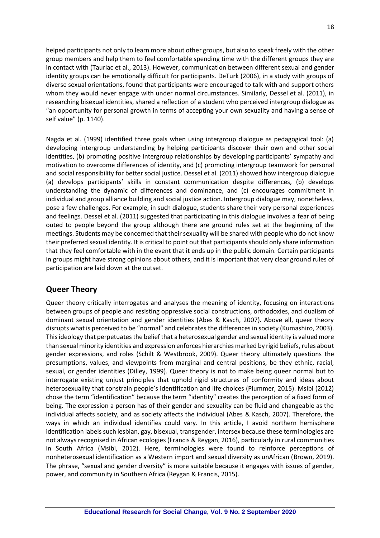helped participants not only to learn more about other groups, but also to speak freely with the other group members and help them to feel comfortable spending time with the different groups they are in contact with (Tauriac et al., 2013). However, communication between different sexual and gender identity groups can be emotionally difficult for participants. DeTurk (2006), in a study with groups of diverse sexual orientations, found that participants were encouraged to talk with and support others whom they would never engage with under normal circumstances. Similarly, Dessel et al. (2011), in researching bisexual identities, shared a reflection of a student who perceived intergroup dialogue as "an opportunity for personal growth in terms of accepting your own sexuality and having a sense of self value" (p. 1140).

Nagda et al. (1999) identified three goals when using intergroup dialogue as pedagogical tool: (a) developing intergroup understanding by helping participants discover their own and other social identities, (b) promoting positive intergroup relationships by developing participants' sympathy and motivation to overcome differences of identity, and (c) promoting intergroup teamwork for personal and social responsibility for better social justice. Dessel et al. (2011) showed how intergroup dialogue (a) develops participants' skills in constant communication despite differences, (b) develops understanding the dynamic of differences and dominance, and (c) encourages commitment in individual and group alliance building and social justice action. Intergroup dialogue may, nonetheless, pose a few challenges. For example, in such dialogue, students share their very personal experiences and feelings. Dessel et al. (2011) suggested that participating in this dialogue involves a fear of being outed to people beyond the group although there are ground rules set at the beginning of the meetings. Students may be concerned that their sexuality will be shared with people who do not know their preferred sexual identity. It is critical to point out that participants should only share information that they feel comfortable with in the event that it ends up in the public domain. Certain participants in groups might have strong opinions about others, and it is important that very clear ground rules of participation are laid down at the outset.

# **Queer Theory**

Queer theory critically interrogates and analyses the meaning of identity, focusing on interactions between groups of people and resisting oppressive social constructions, orthodoxies, and dualism of dominant sexual orientation and gender identities (Abes & Kasch, 2007). Above all, queer theory disrupts what is perceived to be "normal" and celebrates the differences in society (Kumashiro, 2003). This ideology that perpetuates the belief that a heterosexual gender and sexual identity is valued more than sexual minority identities and expression enforces hierarchies marked by rigid beliefs, rules about gender expressions, and roles (Schilt & Westbrook, 2009). Queer theory ultimately questions the presumptions, values, and viewpoints from marginal and central positions, be they ethnic, racial, sexual, or gender identities (Dilley, 1999). Queer theory is not to make being queer normal but to interrogate existing unjust principles that uphold rigid structures of conformity and ideas about heterosexuality that constrain people's identification and life choices (Plummer, 2015). Msibi (2012) chose the term "identification" because the term "identity" creates the perception of a fixed form of being. The expression a person has of their gender and sexuality can be fluid and changeable as the individual affects society, and as society affects the individual (Abes & Kasch, 2007). Therefore, the ways in which an individual identifies could vary. In this article, I avoid northern hemisphere identification labels such lesbian, gay, bisexual, transgender, intersex because these terminologies are not always recognised in African ecologies (Francis & Reygan, 2016), particularly in rural communities in South Africa (Msibi, 2012). Here, terminologies were found to reinforce perceptions of nonheterosexual identification as a Western import and sexual diversity as unAfrican (Brown, 2019). The phrase, "sexual and gender diversity" is more suitable because it engages with issues of gender, power, and community in Southern Africa (Reygan & Francis, 2015).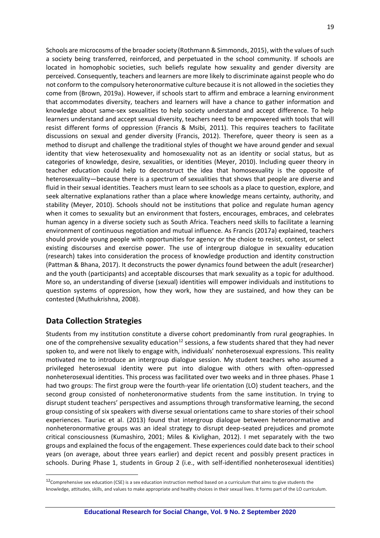Schools are microcosms of the broader society (Rothmann & Simmonds, 2015), with the values of such a society being transferred, reinforced, and perpetuated in the school community. If schools are located in homophobic societies, such beliefs regulate how sexuality and gender diversity are perceived. Consequently, teachers and learners are more likely to discriminate against people who do not conform to the compulsory heteronormative culture because it is not allowed in the societies they come from (Brown, 2019a). However, if schools start to affirm and embrace a learning environment that accommodates diversity, teachers and learners will have a chance to gather information and knowledge about same-sex sexualities to help society understand and accept difference. To help learners understand and accept sexual diversity, teachers need to be empowered with tools that will resist different forms of oppression (Francis & Msibi, 2011). This requires teachers to facilitate discussions on sexual and gender diversity (Francis, 2012). Therefore, queer theory is seen as a method to disrupt and challenge the traditional styles of thought we have around gender and sexual identity that view heterosexuality and homosexuality not as an identity or social status, but as categories of knowledge, desire, sexualities, or identities (Meyer, 2010). Including queer theory in teacher education could help to deconstruct the idea that homosexuality is the opposite of heterosexuality—because there is a spectrum of sexualities that shows that people are diverse and fluid in their sexual identities. Teachers must learn to see schools as a place to question, explore, and seek alternative explanations rather than a place where knowledge means certainty, authority, and stability (Meyer, 2010). Schools should not be institutions that police and regulate human agency when it comes to sexuality but an environment that fosters, encourages, embraces, and celebrates human agency in a diverse society such as South Africa. Teachers need skills to facilitate a learning environment of continuous negotiation and mutual influence. As Francis (2017a) explained, teachers should provide young people with opportunities for agency or the choice to resist, contest, or select existing discourses and exercise power. The use of intergroup dialogue in sexuality education (research) takes into consideration the process of knowledge production and identity construction (Pattman & Bhana, 2017). It deconstructs the power dynamics found between the adult (researcher) and the youth (participants) and acceptable discourses that mark sexuality as a topic for adulthood. More so, an understanding of diverse (sexual) identities will empower individuals and institutions to question systems of oppression, how they work, how they are sustained, and how they can be contested (Muthukrishna, 2008).

## **Data Collection Strategies**

Students from my institution constitute a diverse cohort predominantly from rural geographies. In one of the comprehensive sexuality education<sup>12</sup> sessions, a few students shared that they had never spoken to, and were not likely to engage with, individuals' nonheterosexual expressions. This reality motivated me to introduce an intergroup dialogue session. My student teachers who assumed a privileged heterosexual identity were put into dialogue with others with often-oppressed nonheterosexual identities. This process was facilitated over two weeks and in three phases. Phase 1 had two groups: The first group were the fourth-year life orientation (LO) student teachers, and the second group consisted of nonheteronormative students from the same institution. In trying to disrupt student teachers' perspectives and assumptions through transformative learning, the second group consisting of six speakers with diverse sexual orientations came to share stories of their school experiences. Tauriac et al. (2013) found that intergroup dialogue between heteronormative and nonheteronormative groups was an ideal strategy to disrupt deep-seated prejudices and promote critical consciousness (Kumashiro, 2001; Miles & Kivlighan, 2012). I met separately with the two groups and explained the focus of the engagement. These experiences could date back to their school years (on average, about three years earlier) and depict recent and possibly present practices in schools. During Phase 1, students in Group 2 (i.e., with self-identified nonheterosexual identities)

 $12$ Comprehensive sex education (CSE) is a sex education instruction method based on a curriculum that aims to give students the knowledge, attitudes, skills, and values to make appropriate and healthy choices in their sexual lives. It forms part of the LO curriculum.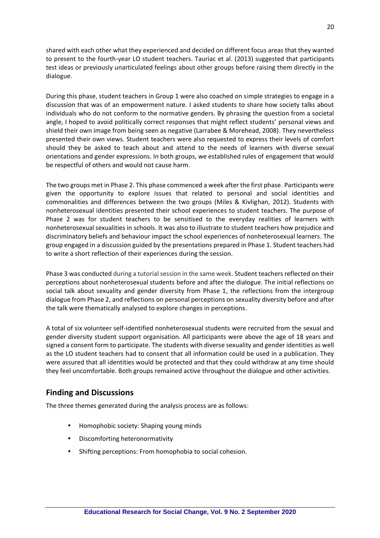shared with each other what they experienced and decided on different focus areas that they wanted to present to the fourth-year LO student teachers. Tauriac et al. (2013) suggested that participants test ideas or previously unarticulated feelings about other groups before raising them directly in the dialogue.

During this phase, student teachers in Group 1 were also coached on simple strategies to engage in a discussion that was of an empowerment nature. I asked students to share how society talks about individuals who do not conform to the normative genders. By phrasing the question from a societal angle, I hoped to avoid politically correct responses that might reflect students' personal views and shield their own image from being seen as negative (Larrabee & Morehead, 2008). They nevertheless presented their own views. Student teachers were also requested to express their levels of comfort should they be asked to teach about and attend to the needs of learners with diverse sexual orientations and gender expressions. In both groups, we established rules of engagement that would be respectful of others and would not cause harm.

The two groups met in Phase 2. This phase commenced a week after the first phase. Participants were given the opportunity to explore issues that related to personal and social identities and commonalities and differences between the two groups (Miles & Kivlighan, 2012). Students with nonheterosexual identities presented their school experiences to student teachers. The purpose of Phase 2 was for student teachers to be sensitised to the everyday realities of learners with nonheterosexual sexualities in schools. It was also to illustrate to student teachers how prejudice and discriminatory beliefs and behaviour impact the school experiences of nonheterosexual learners. The group engaged in a discussion guided by the presentations prepared in Phase 1. Student teachers had to write a short reflection of their experiences during the session.

Phase 3 was conducted during a tutorial session in the same week. Student teachers reflected on their perceptions about nonheterosexual students before and after the dialogue. The initial reflections on social talk about sexuality and gender diversity from Phase 1, the reflections from the intergroup dialogue from Phase 2, and reflections on personal perceptions on sexuality diversity before and after the talk were thematically analysed to explore changes in perceptions.

A total of six volunteer self-identified nonheterosexual students were recruited from the sexual and gender diversity student support organisation. All participants were above the age of 18 years and signed a consent form to participate. The students with diverse sexuality and gender identities as well as the LO student teachers had to consent that all information could be used in a publication. They were assured that all identities would be protected and that they could withdraw at any time should they feel uncomfortable. Both groups remained active throughout the dialogue and other activities.

## **Finding and Discussions**

The three themes generated during the analysis process are as follows:

- Homophobic society: Shaping young minds
- Discomforting heteronormativity
- Shifting perceptions: From homophobia to social cohesion.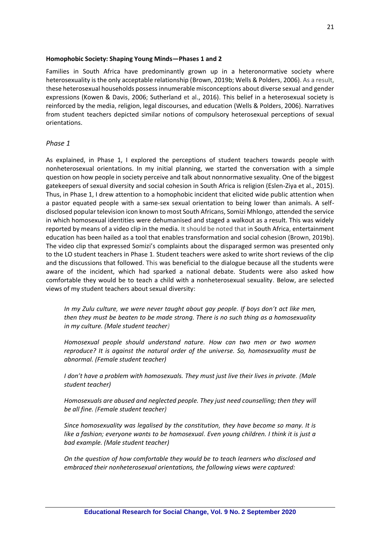#### **Homophobic Society: Shaping Young Minds—Phases 1 and 2**

Families in South Africa have predominantly grown up in a heteronormative society where heterosexuality is the only acceptable relationship (Brown, 2019b; Wells & Polders, 2006). As a result, these heterosexual households possess innumerable misconceptions about diverse sexual and gender expressions (Kowen & Davis, 2006; Sutherland et al., 2016). This belief in a heterosexual society is reinforced by the media, religion, legal discourses, and education (Wells & Polders, 2006). Narratives from student teachers depicted similar notions of compulsory heterosexual perceptions of sexual orientations.

#### *Phase 1*

As explained, in Phase 1, I explored the perceptions of student teachers towards people with nonheterosexual orientations. In my initial planning, we started the conversation with a simple question on how people in society perceive and talk about nonnormative sexuality. One of the biggest gatekeepers of sexual diversity and social cohesion in South Africa is religion (Eslen-Ziya et al., 2015). Thus, in Phase 1, I drew attention to a homophobic incident that elicited wide public attention when a pastor equated people with a same-sex sexual orientation to being lower than animals. A selfdisclosed popular television icon known to most South Africans, Somizi Mhlongo, attended the service in which homosexual identities were dehumanised and staged a walkout as a result. This was widely reported by means of a video clip in the media. It should be noted that in South Africa, entertainment education has been hailed as a tool that enables transformation and social cohesion (Brown, 2019b). The video clip that expressed Somizi's complaints about the disparaged sermon was presented only to the LO student teachers in Phase 1. Student teachers were asked to write short reviews of the clip and the discussions that followed. This was beneficial to the dialogue because all the students were aware of the incident, which had sparked a national debate. Students were also asked how comfortable they would be to teach a child with a nonheterosexual sexuality. Below, are selected views of my student teachers about sexual diversity:

*In my Zulu culture, we were never taught about gay people. If boys don't act like men, then they must be beaten to be made strong. There is no such thing as a homosexuality in my culture. (Male student teacher)*

*Homosexual people should understand nature. How can two men or two women reproduce? It is against the natural order of the universe. So, homosexuality must be abnormal. (Female student teacher)*

*I don't have a problem with homosexuals. They must just live their lives in private. (Male student teacher)*

*Homosexuals are abused and neglected people. They just need counselling; then they will be all fine. (Female student teacher)*

*Since homosexuality was legalised by the constitution, they have become so many. It is like a fashion; everyone wants to be homosexual. Even young children. I think it is just a bad example. (Male student teacher)*

*On the question of how comfortable they would be to teach learners who disclosed and embraced their nonheterosexual orientations, the following views were captured:*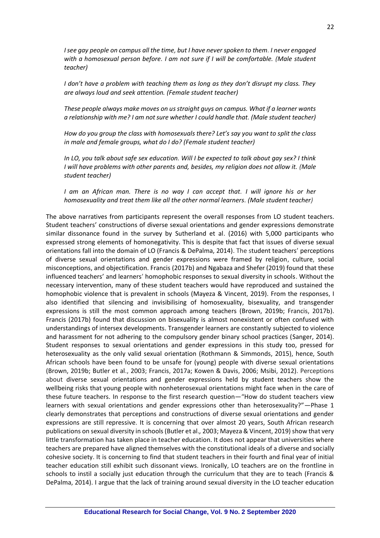*I see gay people on campus all the time, but I have never spoken to them. I never engaged with a homosexual person before. I am not sure if I will be comfortable. (Male student teacher)*

*I don't have a problem with teaching them as long as they don't disrupt my class. They are always loud and seek attention. (Female student teacher)*

*These people always make moves on us straight guys on campus. What if a learner wants a relationship with me? I am not sure whether I could handle that. (Male student teacher)*

*How do you group the class with homosexuals there? Let's say you want to split the class in male and female groups, what do I do? (Female student teacher)*

*In LO, you talk about safe sex education. Will I be expected to talk about gay sex? I think I will have problems with other parents and, besides, my religion does not allow it. (Male student teacher)*

*I* am an African man. There is no way *I* can accept that. *I* will ignore his or her *homosexuality and treat them like all the other normal learners. (Male student teacher)*

The above narratives from participants represent the overall responses from LO student teachers. Student teachers' constructions of diverse sexual orientations and gender expressions demonstrate similar dissonance found in the survey by Sutherland et al. (2016) with 5,000 participants who expressed strong elements of homonegativity. This is despite that fact that issues of diverse sexual orientations fall into the domain of LO (Francis & DePalma, 2014). The student teachers' perceptions of diverse sexual orientations and gender expressions were framed by religion, culture, social misconceptions, and objectification. Francis (2017b) and Ngabaza and Shefer (2019) found that these influenced teachers' and learners' homophobic responses to sexual diversity in schools. Without the necessary intervention, many of these student teachers would have reproduced and sustained the homophobic violence that is prevalent in schools (Mayeza & Vincent, 2019). From the responses, I also identified that silencing and invisibilising of homosexuality, bisexuality, and transgender expressions is still the most common approach among teachers (Brown, 2019b; Francis, 2017b). Francis (2017b) found that discussion on bisexuality is almost nonexistent or often confused with understandings of intersex developments. Transgender learners are constantly subjected to violence and harassment for not adhering to the compulsory gender binary school practices (Sanger, 2014). Student responses to sexual orientations and gender expressions in this study too, pressed for heterosexuality as the only valid sexual orientation (Rothmann & Simmonds, 2015), hence, South African schools have been found to be unsafe for (young) people with diverse sexual orientations (Brown, 2019b; Butler et al., 2003; Francis, 2017a; Kowen & Davis, 2006; Msibi, 2012). Perceptions about diverse sexual orientations and gender expressions held by student teachers show the wellbeing risks that young people with nonheterosexual orientations might face when in the care of these future teachers. In response to the first research question—"How do student teachers view learners with sexual orientations and gender expressions other than heterosexuality?"—Phase 1 clearly demonstrates that perceptions and constructions of diverse sexual orientations and gender expressions are still repressive. It is concerning that over almost 20 years, South African research publications on sexual diversity in schools (Butler et al.*,* 2003; Mayeza & Vincent, 2019) show that very little transformation has taken place in teacher education. It does not appear that universities where teachers are prepared have aligned themselves with the constitutional ideals of a diverse and socially cohesive society. It is concerning to find that student teachers in their fourth and final year of initial teacher education still exhibit such dissonant views. Ironically, LO teachers are on the frontline in schools to instil a socially just education through the curriculum that they are to teach (Francis & DePalma, 2014). I argue that the lack of training around sexual diversity in the LO teacher education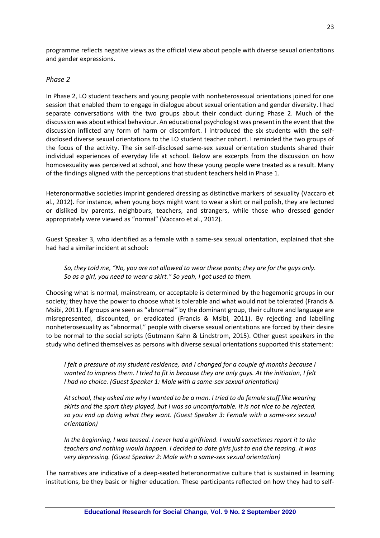programme reflects negative views as the official view about people with diverse sexual orientations and gender expressions.

#### *Phase 2*

In Phase 2, LO student teachers and young people with nonheterosexual orientations joined for one session that enabled them to engage in dialogue about sexual orientation and gender diversity. I had separate conversations with the two groups about their conduct during Phase 2. Much of the discussion was about ethical behaviour. An educational psychologist was present in the event that the discussion inflicted any form of harm or discomfort. I introduced the six students with the selfdisclosed diverse sexual orientations to the LO student teacher cohort. I reminded the two groups of the focus of the activity. The six self-disclosed same-sex sexual orientation students shared their individual experiences of everyday life at school. Below are excerpts from the discussion on how homosexuality was perceived at school, and how these young people were treated as a result. Many of the findings aligned with the perceptions that student teachers held in Phase 1.

Heteronormative societies imprint gendered dressing as distinctive markers of sexuality (Vaccaro et al., 2012). For instance, when young boys might want to wear a skirt or nail polish, they are lectured or disliked by parents, neighbours, teachers, and strangers, while those who dressed gender appropriately were viewed as "normal" (Vaccaro et al., 2012).

Guest Speaker 3, who identified as a female with a same-sex sexual orientation, explained that she had had a similar incident at school:

*So, they told me, "No, you are not allowed to wear these pants; they are for the guys only. So as a girl, you need to wear a skirt." So yeah, I got used to them.*

Choosing what is normal, mainstream, or acceptable is determined by the hegemonic groups in our society; they have the power to choose what is tolerable and what would not be tolerated (Francis & Msibi, 2011). If groups are seen as "abnormal" by the dominant group, their culture and language are misrepresented, discounted, or eradicated (Francis & Msibi, 2011). By rejecting and labelling nonheterosexuality as "abnormal," people with diverse sexual orientations are forced by their desire to be normal to the social scripts (Gutmann Kahn & Lindstrom, 2015). Other guest speakers in the study who defined themselves as persons with diverse sexual orientations supported this statement:

*I felt a pressure at my student residence, and I changed for a couple of months because I wanted to impress them. I tried to fit in because they are only guys. At the initiation, I felt I had no choice. (Guest Speaker 1: Male with a same-sex sexual orientation)*

*At school, they asked me why I wanted to be a man. I tried to do female stuff like wearing skirts and the sport they played, but I was so uncomfortable. It is not nice to be rejected, so you end up doing what they want. (Guest Speaker 3: Female with a same-sex sexual orientation)*

*In the beginning, I was teased. I never had a girlfriend. I would sometimes report it to the teachers and nothing would happen. I decided to date girls just to end the teasing. It was very depressing. (Guest Speaker 2: Male with a same-sex sexual orientation)*

The narratives are indicative of a deep-seated heteronormative culture that is sustained in learning institutions, be they basic or higher education. These participants reflected on how they had to self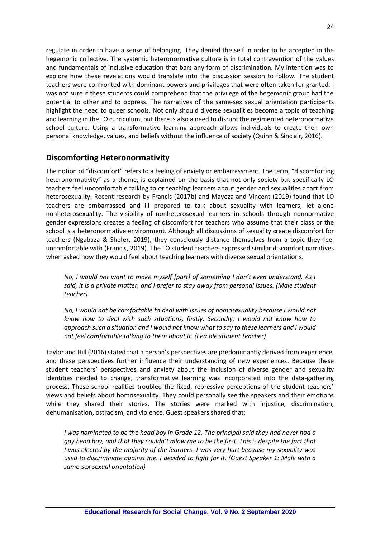regulate in order to have a sense of belonging. They denied the self in order to be accepted in the hegemonic collective. The systemic heteronormative culture is in total contravention of the values and fundamentals of inclusive education that bars any form of discrimination. My intention was to explore how these revelations would translate into the discussion session to follow. The student teachers were confronted with dominant powers and privileges that were often taken for granted. I was not sure if these students could comprehend that the privilege of the hegemonic group had the potential to other and to oppress. The narratives of the same-sex sexual orientation participants highlight the need to queer schools. Not only should diverse sexualities become a topic of teaching and learning in the LO curriculum, but there is also a need to disrupt the regimented heteronormative school culture. Using a transformative learning approach allows individuals to create their own personal knowledge, values, and beliefs without the influence of society (Quinn & Sinclair, 2016).

## **Discomforting Heteronormativity**

The notion of "discomfort" refers to a feeling of anxiety or embarrassment. The term, "discomforting heteronormativity" as a theme, is explained on the basis that not only society but specifically LO teachers feel uncomfortable talking to or teaching learners about gender and sexualities apart from heterosexuality. Recent research by Francis (2017b) and Mayeza and Vincent (2019) found that LO teachers are embarrassed and ill prepared to talk about sexuality with learners, let alone nonheterosexuality. The visibility of nonheterosexual learners in schools through nonnormative gender expressions creates a feeling of discomfort for teachers who assume that their class or the school is a heteronormative environment. Although all discussions of sexuality create discomfort for teachers (Ngabaza & Shefer, 2019), they consciously distance themselves from a topic they feel uncomfortable with (Francis, 2019). The LO student teachers expressed similar discomfort narratives when asked how they would feel about teaching learners with diverse sexual orientations.

*No, I would not want to make myself [part] of something I don't even understand. As I said, it is a private matter, and I prefer to stay away from personal issues. (Male student teacher)*

*No, I would not be comfortable to deal with issues of homosexuality because I would not know how to deal with such situations, firstly. Secondly, I would not know how to approach such a situation and I would not know what to say to these learners and I would not feel comfortable talking to them about it. (Female student teacher)*

Taylor and Hill (2016) stated that a person's perspectives are predominantly derived from experience, and these perspectives further influence their understanding of new experiences. Because these student teachers' perspectives and anxiety about the inclusion of diverse gender and sexuality identities needed to change, transformative learning was incorporated into the data-gathering process. These school realities troubled the fixed, repressive perceptions of the student teachers' views and beliefs about homosexuality. They could personally see the speakers and their emotions while they shared their stories. The stories were marked with injustice, discrimination, dehumanisation, ostracism, and violence. Guest speakers shared that:

*I was nominated to be the head boy in Grade 12. The principal said they had never had a gay head boy, and that they couldn't allow me to be the first. This is despite the fact that I was elected by the majority of the learners. I was very hurt because my sexuality was used to discriminate against me. I decided to fight for it. (Guest Speaker 1: Male with a same-sex sexual orientation)*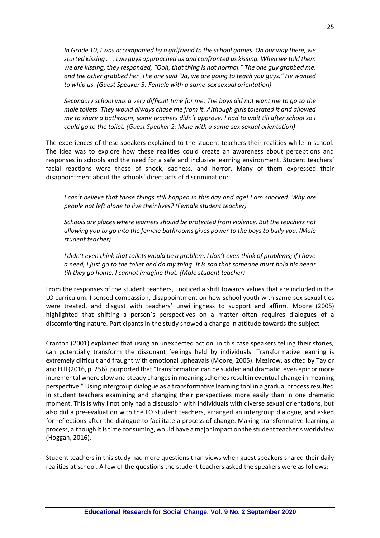*In Grade 10, I was accompanied by a girlfriend to the school games. On our way there, we started kissing . . . two guys approached us and confronted us kissing. When we told them we are kissing, they responded, "Ooh, that thing is not normal." The one guy grabbed me, and the other grabbed her. The one said "Ja, we are going to teach you guys." He wanted to whip us. (Guest Speaker 3: Female with a same-sex sexual orientation)*

*Secondary school was a very difficult time for me. The boys did not want me to go to the male toilets. They would always chase me from it. Although girls tolerated it and allowed me to share a bathroom, some teachers didn't approve. I had to wait till after school so I could go to the toilet. (Guest Speaker 2: Male with a same-sex sexual orientation)*

The experiences of these speakers explained to the student teachers their realities while in school. The idea was to explore how these realities could create an awareness about perceptions and responses in schools and the need for a safe and inclusive learning environment. Student teachers' facial reactions were those of shock, sadness, and horror. Many of them expressed their disappointment about the schools' direct acts of discrimination:

*I can't believe that those things still happen in this day and age! I am shocked. Why are people not left alone to live their lives? (Female student teacher)*

*Schools are places where learners should be protected from violence. But the teachers not allowing you to go into the female bathrooms gives power to the boys to bully you. (Male student teacher)*

*I didn't even think that toilets would be a problem. I don't even think of problems; if I have a need, I just go to the toilet and do my thing. It is sad that someone must hold his needs till they go home. I cannot imagine that. (Male student teacher)*

From the responses of the student teachers, I noticed a shift towards values that are included in the LO curriculum. I sensed compassion, disappointment on how school youth with same-sex sexualities were treated, and disgust with teachers' unwillingness to support and affirm. Moore (2005) highlighted that shifting a person's perspectives on a matter often requires dialogues of a discomforting nature. Participants in the study showed a change in attitude towards the subject.

Cranton (2001) explained that using an unexpected action, in this case speakers telling their stories, can potentially transform the dissonant feelings held by individuals. Transformative learning is extremely difficult and fraught with emotional upheavals (Moore, 2005). Mezirow, as cited by Taylor and Hill (2016, p. 256), purported that "transformation can be sudden and dramatic, even epic or more incremental where slow and steady changes in meaning schemes result in eventual change in meaning perspective." Using intergroup dialogue as a transformative learning tool in a gradual process resulted in student teachers examining and changing their perspectives more easily than in one dramatic moment. This is why I not only had a discussion with individuals with diverse sexual orientations, but also did a pre-evaluation with the LO student teachers, arranged an intergroup dialogue, and asked for reflections after the dialogue to facilitate a process of change. Making transformative learning a process, although it is time consuming, would have a major impact on the student teacher's worldview (Hoggan, 2016).

Student teachers in this study had more questions than views when guest speakers shared their daily realities at school. A few of the questions the student teachers asked the speakers were as follows: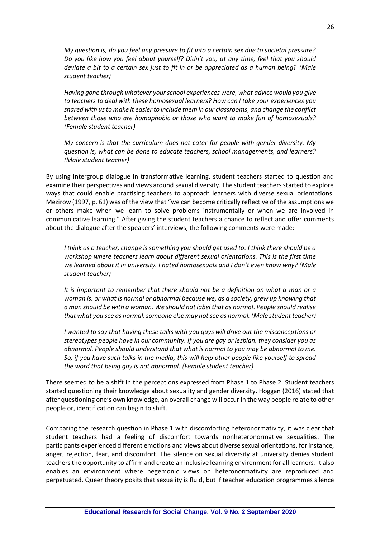*My question is, do you feel any pressure to fit into a certain sex due to societal pressure? Do you like how you feel about yourself? Didn't you, at any time, feel that you should deviate a bit to a certain sex just to fit in or be appreciated as a human being? (Male student teacher)*

*Having gone through whatever your school experiences were, what advice would you give to teachers to deal with these homosexual learners? How can I take your experiences you shared with us to make it easier to include them in our classrooms, and change the conflict between those who are homophobic or those who want to make fun of homosexuals? (Female student teacher)*

*My concern is that the curriculum does not cater for people with gender diversity. My question is, what can be done to educate teachers, school managements, and learners? (Male student teacher)*

By using intergroup dialogue in transformative learning, student teachers started to question and examine their perspectives and views around sexual diversity. The student teachers started to explore ways that could enable practising teachers to approach learners with diverse sexual orientations. Mezirow (1997, p. 61) was of the view that "we can become critically reflective of the assumptions we or others make when we learn to solve problems instrumentally or when we are involved in communicative learning." After giving the student teachers a chance to reflect and offer comments about the dialogue after the speakers' interviews, the following comments were made:

*I think as a teacher, change is something you should get used to. I think there should be a workshop where teachers learn about different sexual orientations. This is the first time we learned about it in university. I hated homosexuals and I don't even know why? (Male student teacher)*

*It is important to remember that there should not be a definition on what a man or a woman is, or what is normal or abnormal because we, as a society, grew up knowing that a man should be with a woman. We should not label that as normal. People should realise that what you see as normal, someone else may not see as normal. (Male student teacher)*

*I wanted to say that having these talks with you guys will drive out the misconceptions or stereotypes people have in our community. If you are gay or lesbian, they consider you as abnormal. People should understand that what is normal to you may be abnormal to me. So, if you have such talks in the media, this will help other people like yourself to spread the word that being gay is not abnormal. (Female student teacher)*

There seemed to be a shift in the perceptions expressed from Phase 1 to Phase 2. Student teachers started questioning their knowledge about sexuality and gender diversity. Hoggan (2016) stated that after questioning one's own knowledge, an overall change will occur in the way people relate to other people or, identification can begin to shift.

Comparing the research question in Phase 1 with discomforting heteronormativity, it was clear that student teachers had a feeling of discomfort towards nonheteronormative sexualities. The participants experienced different emotions and views about diverse sexual orientations, for instance, anger, rejection, fear, and discomfort. The silence on sexual diversity at university denies student teachers the opportunity to affirm and create an inclusive learning environment for all learners. It also enables an environment where hegemonic views on heteronormativity are reproduced and perpetuated. Queer theory posits that sexuality is fluid, but if teacher education programmes silence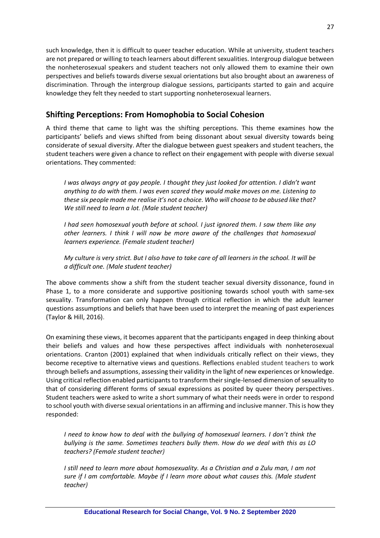such knowledge, then it is difficult to queer teacher education. While at university, student teachers are not prepared or willing to teach learners about different sexualities. Intergroup dialogue between the nonheterosexual speakers and student teachers not only allowed them to examine their own perspectives and beliefs towards diverse sexual orientations but also brought about an awareness of discrimination. Through the intergroup dialogue sessions, participants started to gain and acquire knowledge they felt they needed to start supporting nonheterosexual learners.

# **Shifting Perceptions: From Homophobia to Social Cohesion**

A third theme that came to light was the shifting perceptions. This theme examines how the participants' beliefs and views shifted from being dissonant about sexual diversity towards being considerate of sexual diversity. After the dialogue between guest speakers and student teachers, the student teachers were given a chance to reflect on their engagement with people with diverse sexual orientations. They commented:

*I was always angry at gay people. I thought they just looked for attention. I didn't want anything to do with them. I was even scared they would make moves on me. Listening to these six people made me realise it's not a choice. Who will choose to be abused like that? We still need to learn a lot. (Male student teacher)*

*I had seen homosexual youth before at school. I just ignored them. I saw them like any other learners. I think I will now be more aware of the challenges that homosexual learners experience. (Female student teacher)*

*My culture is very strict. But I also have to take care of all learners in the school. It will be a difficult one. (Male student teacher)*

The above comments show a shift from the student teacher sexual diversity dissonance, found in Phase 1, to a more considerate and supportive positioning towards school youth with same-sex sexuality. Transformation can only happen through critical reflection in which the adult learner questions assumptions and beliefs that have been used to interpret the meaning of past experiences (Taylor & Hill, 2016).

On examining these views, it becomes apparent that the participants engaged in deep thinking about their beliefs and values and how these perspectives affect individuals with nonheterosexual orientations. Cranton (2001) explained that when individuals critically reflect on their views, they become receptive to alternative views and questions. Reflections enabled student teachers to work through beliefs and assumptions, assessing their validity in the light of new experiences or knowledge. Using critical reflection enabled participants to transform their single-lensed dimension of sexuality to that of considering different forms of sexual expressions as posited by queer theory perspectives. Student teachers were asked to write a short summary of what their needs were in order to respond to school youth with diverse sexual orientations in an affirming and inclusive manner. This is how they responded:

*I need to know how to deal with the bullying of homosexual learners. I don't think the bullying is the same. Sometimes teachers bully them. How do we deal with this as LO teachers? (Female student teacher)*

*I still need to learn more about homosexuality. As a Christian and a Zulu man, I am not sure if I am comfortable. Maybe if I learn more about what causes this. (Male student teacher)*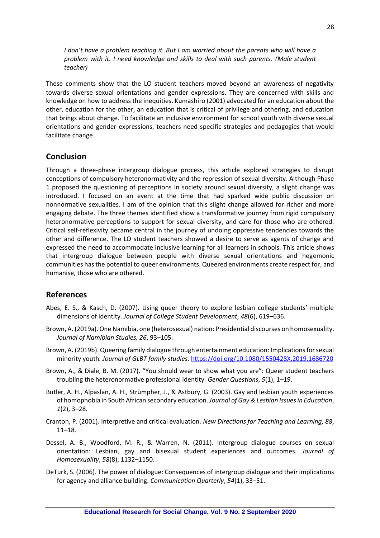*I don't have a problem teaching it. But I am worried about the parents who will have a problem with it. I need knowledge and skills to deal with such parents. (Male student teacher)*

These comments show that the LO student teachers moved beyond an awareness of negativity towards diverse sexual orientations and gender expressions. They are concerned with skills and knowledge on how to address the inequities. Kumashiro (2001) advocated for an education about the other, education for the other, an education that is critical of privilege and othering, and education that brings about change. To facilitate an inclusive environment for school youth with diverse sexual orientations and gender expressions, teachers need specific strategies and pedagogies that would facilitate change.

## **Conclusion**

Through a three-phase intergroup dialogue process, this article explored strategies to disrupt conceptions of compulsory heteronormativity and the repression of sexual diversity. Although Phase 1 proposed the questioning of perceptions in society around sexual diversity, a slight change was introduced. I focused on an event at the time that had sparked wide public discussion on nonnormative sexualities. I am of the opinion that this slight change allowed for richer and more engaging debate. The three themes identified show a transformative journey from rigid compulsory heteronormative perceptions to support for sexual diversity, and care for those who are othered. Critical self-reflexivity became central in the journey of undoing oppressive tendencies towards the other and difference. The LO student teachers showed a desire to serve as agents of change and expressed the need to accommodate inclusive learning for all learners in schools. This article shows that intergroup dialogue between people with diverse sexual orientations and hegemonic communities has the potential to queer environments. Queered environments create respect for, and humanise, those who are othered.

### **References**

- Abes, E. S., & Kasch, D. (2007). Using queer theory to explore lesbian college students' multiple dimensions of identity. *Journal of College Student Development*, *48*(6), 619–636.
- Brown, A. (2019a). One Namibia, one (heterosexual) nation: Presidential discourses on homosexuality. *Journal of Namibian Studies, 26*, 93–105.
- Brown, A. (2019b). Queering family dialogue through entertainment education: Implications for sexual minority youth*. Journal of GLBT family studies.* <https://doi.org/10.1080/1550428X.2019.1686720>
- Brown, A., & Diale, B. M. (2017). "You should wear to show what you are": Queer student teachers troubling the heteronormative professional identity. *Gender Questions*, *5*(1), 1–19.
- Butler, A. H., Alpaslan, A. H., Strümpher, J., & Astbury, G. (2003). Gay and lesbian youth experiences of homophobia in South African secondary education. *Journal of Gay & Lesbian Issues in Education*, *1*(2), 3–28.
- Cranton, P. (2001). Interpretive and critical evaluation. *New Directions for Teaching and Learning, 88*, 11–18.
- Dessel, A. B., Woodford, M. R., & Warren, N. (2011). Intergroup dialogue courses on sexual orientation: Lesbian, gay and bisexual student experiences and outcomes. *Journal of Homosexuality*, *58*(8), 1132–1150.
- DeTurk, S. (2006). The power of dialogue: Consequences of intergroup dialogue and their implications for agency and alliance building. *Communication Quarterly*, *54*(1), 33–51.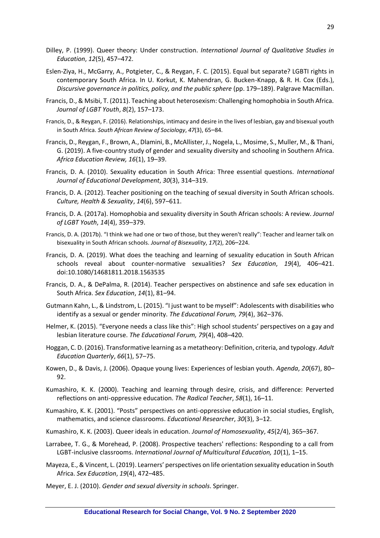- Dilley, P. (1999). Queer theory: Under construction. *International Journal of Qualitative Studies in Education*, *12*(5), 457–472.
- Eslen-Ziya, H., McGarry, A., Potgieter, C., & Reygan, F. C. (2015). Equal but separate? LGBTI rights in contemporary South Africa. In U. Korkut, K. Mahendran, G. Bucken-Knapp, & R. H. Cox (Eds.), *Discursive governance in politics, policy, and the public sphere* (pp. 179–189). Palgrave Macmillan.
- Francis, D., & Msibi, T. (2011). Teaching about heterosexism: Challenging homophobia in South Africa. *Journal of LGBT Youth*, *8*(2), 157–173.
- Francis, D., & Reygan, F. (2016). Relationships, intimacy and desire in the lives of lesbian, gay and bisexual youth in South Africa. *South African Review of Sociology*, *47*(3), 65–84.
- Francis, D., Reygan, F., Brown, A., Dlamini, B., McAllister, J., Nogela, L., Mosime, S., Muller, M., & Thani, G. (2019). A five-country study of gender and sexuality diversity and schooling in Southern Africa. *Africa Education Review, 16*(1), 19–39.
- Francis, D. A. (2010). Sexuality education in South Africa: Three essential questions. *International Journal of Educational Development*, *30*(3), 314–319.
- Francis, D. A. (2012). Teacher positioning on the teaching of sexual diversity in South African schools. *Culture, Health & Sexuality*, *14*(6), 597–611.
- Francis, D. A. (2017a). Homophobia and sexuality diversity in South African schools: A review. *Journal of LGBT Youth*, *14*(4), 359–379.
- Francis, D. A. (2017b). "I think we had one or two of those, but they weren't really": Teacher and learner talk on bisexuality in South African schools. *Journal of Bisexuality*, *17*(2), 206–224.
- Francis, D. A. (2019). What does the teaching and learning of sexuality education in South African schools reveal about counter-normative sexualities? *Sex Education*, *19*(4), 406–421. doi:10.1080/14681811.2018.1563535
- Francis, D. A., & DePalma, R. (2014). Teacher perspectives on abstinence and safe sex education in South Africa. *Sex Education*, *14*(1), 81–94.
- Gutmann Kahn, L., & Lindstrom, L. (2015). "I just want to be myself": Adolescents with disabilities who identify as a sexual or gender minority. *The Educational Forum, 79*(4), 362–376.
- Helmer, K. (2015). "Everyone needs a class like this": High school students' perspectives on a gay and lesbian literature course. *The Educational Forum, 79*(4), 408–420.
- Hoggan, C. D. (2016). Transformative learning as a metatheory: Definition, criteria, and typology. *Adult Education Quarterly*, *66*(1), 57–75.
- Kowen, D., & Davis, J. (2006). Opaque young lives: Experiences of lesbian youth. *Agenda*, *20*(67), 80– 92.
- Kumashiro, K. K. (2000). Teaching and learning through desire, crisis, and difference: Perverted reflections on anti-oppressive education. *The Radical Teacher*, *58*(1), 16–11.
- Kumashiro, K. K. (2001). "Posts" perspectives on anti-oppressive education in social studies, English, mathematics, and science classrooms. *Educational Researcher*, *30*(3), 3–12.
- Kumashiro, K. K. (2003). Queer ideals in education. *Journal of Homosexuality*, *45*(2/4), 365–367.
- Larrabee, T. G., & Morehead, P. (2008). Prospective teachers' reflections: Responding to a call from LGBT-inclusive classrooms. *International Journal of Multicultural Education, 10*(1), 1–15.
- Mayeza, E., & Vincent, L. (2019). Learners' perspectives on life orientation sexuality education in South Africa. *Sex Education*, *19*(4), 472–485.
- Meyer, E. J. (2010). *Gender and sexual diversity in schools*. Springer.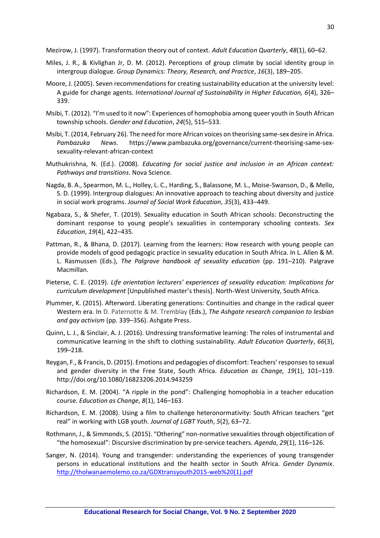Mezirow, J. (1997). Transformation theory out of context. *Adult Education Quarterly*, *48*(1), 60–62.

- Miles, J. R., & Kivlighan Jr, D. M. (2012). Perceptions of group climate by social identity group in intergroup dialogue. *Group Dynamics: Theory, Research, and Practice*, *16*(3), 189–205.
- Moore, J. (2005). Seven recommendations for creating sustainability education at the university level: A guide for change agents. *International Journal of Sustainability in Higher Education, 6*(4), 326– 339.
- Msibi, T. (2012). "I'm used to it now": Experiences of homophobia among queer youth in South African township schools. *Gender and Education*, *24*(5), 515–533.
- Msibi, T. (2014, February 26). The need for more African voices on theorising same-sex desire in Africa. *Pambazuka News*. https://www.pambazuka.org/governance/current-theorising-same-sexsexuality-relevant-african-context
- Muthukrishna, N. (Ed.). (2008). *Educating for social justice and inclusion in an African context: Pathways and transitions*. Nova Science.
- Nagda, B. A., Spearmon, M. L., Holley, L. C., Harding, S., Balassone, M. L., Moise-Swanson, D., & Mello, S. D. (1999). Intergroup dialogues: An innovative approach to teaching about diversity and justice in social work programs. *Journal of Social Work Education*, *35*(3), 433–449.
- Ngabaza, S., & Shefer, T. (2019). Sexuality education in South African schools: Deconstructing the dominant response to young people's sexualities in contemporary schooling contexts. *Sex Education*, *19*(4), 422–435.
- Pattman, R., & Bhana, D. (2017). Learning from the learners: How research with young people can provide models of good pedagogic practice in sexuality education in South Africa. In L. Allen & M. L. Rasmussen (Eds.), *The Palgrave handbook of sexuality education* (pp. 191–210). Palgrave Macmillan.
- Pieterse, C. E. (2019). *Life orientation lecturers' experiences of sexuality education: Implications for curriculum development* [Unpublished master's thesis]. North-West University, South Africa.
- Plummer, K. (2015). Afterword. Liberating generations: Continuities and change in the radical queer Western era. In D. Paternotte & M. Tremblay (Eds.), *The Ashgate research companion to lesbian and gay activism* (pp. 339–356). Ashgate Press.
- Quinn, L. J., & Sinclair, A. J. (2016). Undressing transformative learning: The roles of instrumental and communicative learning in the shift to clothing sustainability. *Adult Education Quarterly*, *66*(3), 199–218.
- Reygan, F., & Francis, D. (2015). Emotions and pedagogies of discomfort: Teachers' responses to sexual and gender diversity in the Free State, South Africa. *Education as Change, 19*(1), 101–119. http://doi.org/10.1080/16823206.2014.943259
- Richardson, E. M. (2004). "A ripple in the pond": Challenging homophobia in a teacher education course. *Education as Change*, *8*(1), 146–163.
- Richardson, E. M. (2008). Using a film to challenge heteronormativity: South African teachers "get real" in working with LGB youth. *Journal of LGBT Youth*, *5*(2), 63–72.
- Rothmann, J., & Simmonds, S. (2015). "Othering" non-normative sexualities through objectification of "the homosexual": Discursive discrimination by pre-service teachers. *Agenda*, *29*(1), 116–126.
- Sanger, N. (2014). Young and transgender: understanding the experiences of young transgender persons in educational institutions and the health sector in South Africa. *Gender Dynamix*. [http://tholwanaemolemo.co.za/GDXtransyouth2015-web%20\(1\).pdf](http://tholwanaemolemo.co.za/GDXtransyouth2015-web%20(1).pdf)